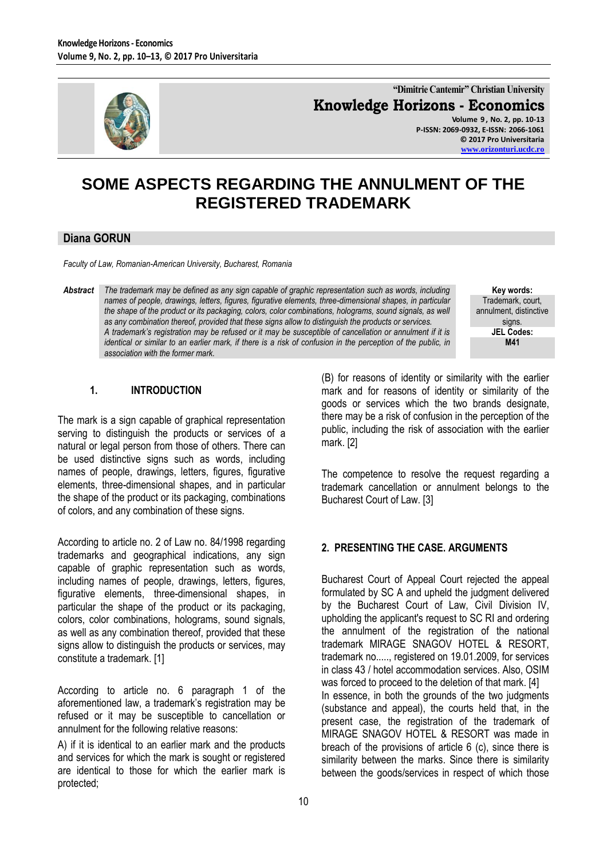

**"Dimitrie Cantemir" Christian University Knowledge Horizons - Economics Volume 9 , No. 2, pp. 10-13 P-ISSN: 2069-0932, E-ISSN: 2066-1061**

**© 2017 Pro Universitaria [www.orizonturi.ucdc.ro](http://www.orizonturi.ucdc.ro/)**

# **SOME ASPECTS REGARDING THE ANNULMENT OF THE REGISTERED TRADEMARK**

### **Diana GORUN**

*Faculty of Law, Romanian-American University, Bucharest, Romania*

*Abstract The trademark may be defined as any sign capable of graphic representation such as words, including names of people, drawings, letters, figures, figurative elements, three-dimensional shapes, in particular the shape of the product or its packaging, colors, color combinations, holograms, sound signals, as well as any combination thereof, provided that these signs allow to distinguish the products or services. A trademark's registration may be refused or it may be susceptible of cancellation or annulment if it is identical or similar to an earlier mark, if there is a risk of confusion in the perception of the public, in association with the former mark.*

**Key words:** Trademark, court, annulment, distinctive signs*.* **JEL Codes: M41**

## **1. INTRODUCTION**

The mark is a sign capable of graphical representation serving to distinguish the products or services of a natural or legal person from those of others. There can be used distinctive signs such as words, including names of people, drawings, letters, figures, figurative elements, three-dimensional shapes, and in particular the shape of the product or its packaging, combinations of colors, and any combination of these signs.

According to article no. 2 of Law no. 84/1998 regarding trademarks and geographical indications, any sign capable of graphic representation such as words, including names of people, drawings, letters, figures, figurative elements, three-dimensional shapes, in particular the shape of the product or its packaging, colors, color combinations, holograms, sound signals, as well as any combination thereof, provided that these signs allow to distinguish the products or services, may constitute a trademark. [1]

According to article no. 6 paragraph 1 of the aforementioned law, a trademark's registration may be refused or it may be susceptible to cancellation or annulment for the following relative reasons:

A) if it is identical to an earlier mark and the products and services for which the mark is sought or registered are identical to those for which the earlier mark is protected;

(B) for reasons of identity or similarity with the earlier mark and for reasons of identity or similarity of the goods or services which the two brands designate, there may be a risk of confusion in the perception of the public, including the risk of association with the earlier mark. [2]

The competence to resolve the request regarding a trademark cancellation or annulment belongs to the Bucharest Court of Law. [3]

#### **2. PRESENTING THE CASE. ARGUMENTS**

Bucharest Court of Appeal Court rejected the appeal formulated by SC A and upheld the judgment delivered by the Bucharest Court of Law, Civil Division IV, upholding the applicant's request to SC RI and ordering the annulment of the registration of the national trademark MIRAGE SNAGOV HOTEL & RESORT, trademark no....., registered on 19.01.2009, for services in class 43 / hotel accommodation services. Also, OSIM was forced to proceed to the deletion of that mark. [4] In essence, in both the grounds of the two judgments (substance and appeal), the courts held that, in the present case, the registration of the trademark of MIRAGE SNAGOV HOTEL & RESORT was made in breach of the provisions of article 6 (c), since there is similarity between the marks. Since there is similarity between the goods/services in respect of which those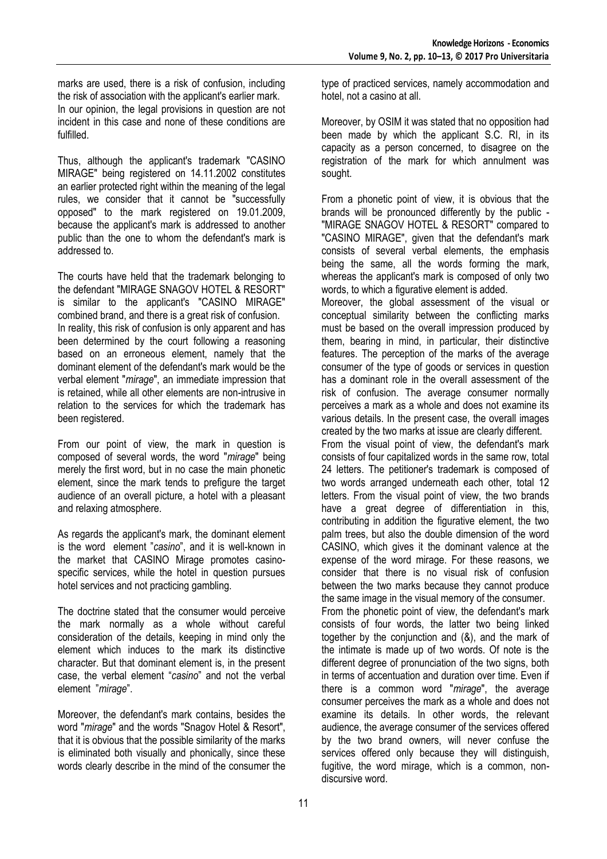marks are used, there is a risk of confusion, including the risk of association with the applicant's earlier mark. In our opinion, the legal provisions in question are not incident in this case and none of these conditions are fulfilled.

Thus, although the applicant's trademark "CASINO MIRAGE" being registered on 14.11.2002 constitutes an earlier protected right within the meaning of the legal rules, we consider that it cannot be "successfully opposed" to the mark registered on 19.01.2009, because the applicant's mark is addressed to another public than the one to whom the defendant's mark is addressed to.

The courts have held that the trademark belonging to the defendant "MIRAGE SNAGOV HOTEL & RESORT" is similar to the applicant's "CASINO MIRAGE" combined brand, and there is a great risk of confusion. In reality, this risk of confusion is only apparent and has been determined by the court following a reasoning based on an erroneous element, namely that the dominant element of the defendant's mark would be the verbal element "*mirage*", an immediate impression that is retained, while all other elements are non-intrusive in relation to the services for which the trademark has been registered.

From our point of view, the mark in question is composed of several words, the word "*mirage*" being merely the first word, but in no case the main phonetic element, since the mark tends to prefigure the target audience of an overall picture, a hotel with a pleasant and relaxing atmosphere.

As regards the applicant's mark, the dominant element is the word element "*casino*", and it is well-known in the market that CASINO Mirage promotes casinospecific services, while the hotel in question pursues hotel services and not practicing gambling.

The doctrine stated that the consumer would perceive the mark normally as a whole without careful consideration of the details, keeping in mind only the element which induces to the mark its distinctive character. But that dominant element is, in the present case, the verbal element "*casino*" and not the verbal element "*mirage*".

Moreover, the defendant's mark contains, besides the word "*mirage*" and the words "Snagov Hotel & Resort", that it is obvious that the possible similarity of the marks is eliminated both visually and phonically, since these words clearly describe in the mind of the consumer the

type of practiced services, namely accommodation and hotel, not a casino at all.

Moreover, by OSIM it was stated that no opposition had been made by which the applicant S.C. RI, in its capacity as a person concerned, to disagree on the registration of the mark for which annulment was sought.

From a phonetic point of view, it is obvious that the brands will be pronounced differently by the public - "MIRAGE SNAGOV HOTEL & RESORT" compared to "CASINO MIRAGE", given that the defendant's mark consists of several verbal elements, the emphasis being the same, all the words forming the mark, whereas the applicant's mark is composed of only two words, to which a figurative element is added.

Moreover, the global assessment of the visual or conceptual similarity between the conflicting marks must be based on the overall impression produced by them, bearing in mind, in particular, their distinctive features. The perception of the marks of the average consumer of the type of goods or services in question has a dominant role in the overall assessment of the risk of confusion. The average consumer normally perceives a mark as a whole and does not examine its various details. In the present case, the overall images created by the two marks at issue are clearly different.

From the visual point of view, the defendant's mark consists of four capitalized words in the same row, total 24 letters. The petitioner's trademark is composed of two words arranged underneath each other, total 12 letters. From the visual point of view, the two brands have a great degree of differentiation in this, contributing in addition the figurative element, the two palm trees, but also the double dimension of the word CASINO, which gives it the dominant valence at the expense of the word mirage. For these reasons, we consider that there is no visual risk of confusion between the two marks because they cannot produce the same image in the visual memory of the consumer.

From the phonetic point of view, the defendant's mark consists of four words, the latter two being linked together by the conjunction and (&), and the mark of the intimate is made up of two words. Of note is the different degree of pronunciation of the two signs, both in terms of accentuation and duration over time. Even if there is a common word "*mirage*", the average consumer perceives the mark as a whole and does not examine its details. In other words, the relevant audience, the average consumer of the services offered by the two brand owners, will never confuse the services offered only because they will distinguish, fugitive, the word mirage, which is a common, nondiscursive word.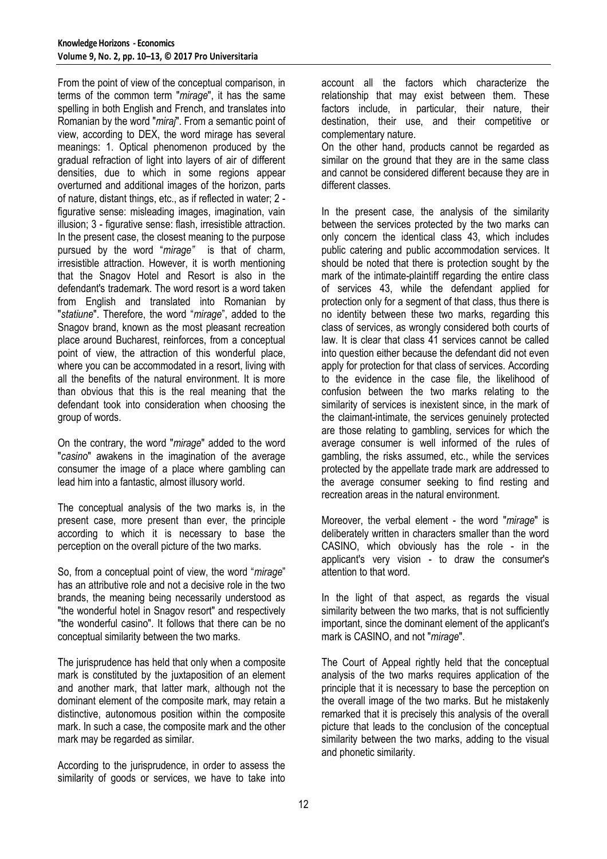From the point of view of the conceptual comparison, in terms of the common term "*mirage*", it has the same spelling in both English and French, and translates into Romanian by the word "*miraj*". From a semantic point of view, according to DEX, the word mirage has several meanings: 1. Optical phenomenon produced by the gradual refraction of light into layers of air of different densities, due to which in some regions appear overturned and additional images of the horizon, parts of nature, distant things, etc., as if reflected in water; 2 figurative sense: misleading images, imagination, vain illusion; 3 - figurative sense: flash, irresistible attraction. In the present case, the closest meaning to the purpose pursued by the word "*mirage"* is that of charm, irresistible attraction. However, it is worth mentioning that the Snagov Hotel and Resort is also in the defendant's trademark. The word resort is a word taken from English and translated into Romanian by "*statiune*". Therefore, the word "*mirage*", added to the Snagov brand, known as the most pleasant recreation place around Bucharest, reinforces, from a conceptual point of view, the attraction of this wonderful place, where you can be accommodated in a resort, living with all the benefits of the natural environment. It is more than obvious that this is the real meaning that the defendant took into consideration when choosing the group of words.

On the contrary, the word "*mirage*" added to the word "*casino*" awakens in the imagination of the average consumer the image of a place where gambling can lead him into a fantastic, almost illusory world.

The conceptual analysis of the two marks is, in the present case, more present than ever, the principle according to which it is necessary to base the perception on the overall picture of the two marks.

So, from a conceptual point of view, the word "*mirage*" has an attributive role and not a decisive role in the two brands, the meaning being necessarily understood as "the wonderful hotel in Snagov resort" and respectively "the wonderful casino". It follows that there can be no conceptual similarity between the two marks.

The jurisprudence has held that only when a composite mark is constituted by the juxtaposition of an element and another mark, that latter mark, although not the dominant element of the composite mark, may retain a distinctive, autonomous position within the composite mark. In such a case, the composite mark and the other mark may be regarded as similar.

According to the jurisprudence, in order to assess the similarity of goods or services, we have to take into

account all the factors which characterize the relationship that may exist between them. These factors include, in particular, their nature, their destination, their use, and their competitive or complementary nature.

On the other hand, products cannot be regarded as similar on the ground that they are in the same class and cannot be considered different because they are in different classes.

In the present case, the analysis of the similarity between the services protected by the two marks can only concern the identical class 43, which includes public catering and public accommodation services. It should be noted that there is protection sought by the mark of the intimate-plaintiff regarding the entire class of services 43, while the defendant applied for protection only for a segment of that class, thus there is no identity between these two marks, regarding this class of services, as wrongly considered both courts of law. It is clear that class 41 services cannot be called into question either because the defendant did not even apply for protection for that class of services. According to the evidence in the case file, the likelihood of confusion between the two marks relating to the similarity of services is inexistent since, in the mark of the claimant-intimate, the services genuinely protected are those relating to gambling, services for which the average consumer is well informed of the rules of gambling, the risks assumed, etc., while the services protected by the appellate trade mark are addressed to the average consumer seeking to find resting and recreation areas in the natural environment.

Moreover, the verbal element - the word "*mirage*" is deliberately written in characters smaller than the word CASINO, which obviously has the role - in the applicant's very vision - to draw the consumer's attention to that word.

In the light of that aspect, as regards the visual similarity between the two marks, that is not sufficiently important, since the dominant element of the applicant's mark is CASINO, and not "*mirage*".

The Court of Appeal rightly held that the conceptual analysis of the two marks requires application of the principle that it is necessary to base the perception on the overall image of the two marks. But he mistakenly remarked that it is precisely this analysis of the overall picture that leads to the conclusion of the conceptual similarity between the two marks, adding to the visual and phonetic similarity.